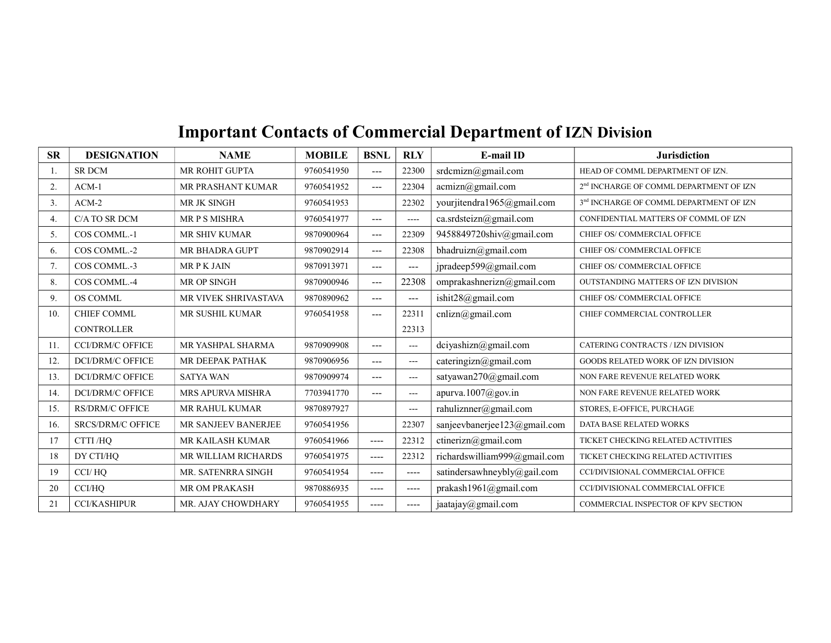## Important Contacts of Commercial Department of IZN Division

| <b>SR</b> | <b>DESIGNATION</b>       | <b>NAME</b>              | <b>MOBILE</b> | <b>BSNL</b> | <b>RLY</b>        | <b>E-mail ID</b>             | <b>Jurisdiction</b>                                 |
|-----------|--------------------------|--------------------------|---------------|-------------|-------------------|------------------------------|-----------------------------------------------------|
|           | <b>SR DCM</b>            | MR ROHIT GUPTA           | 9760541950    | ---         | 22300             | srdcmizn@gmail.com           | HEAD OF COMML DEPARTMENT OF IZN.                    |
| 2.        | $ACM-1$                  | MR PRASHANT KUMAR        | 9760541952    | $---$       | 22304             | acmizn@gmail.com             | 2 <sup>nd</sup> INCHARGE OF COMML DEPARTMENT OF IZN |
| 3.        | $ACM-2$                  | MR JK SINGH              | 9760541953    |             | 22302             | yourjitendra1965@gmail.com   | 3 <sup>nd</sup> INCHARGE OF COMML DEPARTMENT OF IZN |
| 4.        | C/A TO SR DCM            | MR P S MISHRA            | 9760541977    | $---$       | ----              | ca.srdsteizn@gmail.com       | CONFIDENTIAL MATTERS OF COMML OF IZN                |
| 5.        | COS COMML.-1             | MR SHIV KUMAR            | 9870900964    | $---$       | 22309             | 9458849720shiv@gmail.com     | CHIEF OS/ COMMERCIAL OFFICE                         |
| 6.        | COS COMML.-2             | MR BHADRA GUPT           | 9870902914    | $---$       | 22308             | bhadruizn@gmail.com          | CHIEF OS/ COMMERCIAL OFFICE                         |
| 7.        | COS COMML.-3             | <b>MRPKJAIN</b>          | 9870913971    | $---$       | $---$             | jpradeep599@gmail.com        | CHIEF OS/COMMERCIAL OFFICE                          |
| 8.        | COS COMML.-4             | MR OP SINGH              | 9870900946    | $---$       | 22308             | omprakashnerizn@gmail.com    | OUTSTANDING MATTERS OF IZN DIVISION                 |
| 9.        | <b>OS COMML</b>          | MR VIVEK SHRIVASTAVA     | 9870890962    | $---$       | $---$             | ishit28@gmail.com            | CHIEF OS/ COMMERCIAL OFFICE                         |
| 10.       | <b>CHIEF COMML</b>       | MR SUSHIL KUMAR          | 9760541958    | ---         | 22311             | cnlizn@gmail.com             | CHIEF COMMERCIAL CONTROLLER                         |
|           | <b>CONTROLLER</b>        |                          |               |             | 22313             |                              |                                                     |
| 11.       | <b>CCI/DRM/C OFFICE</b>  | MR YASHPAL SHARMA        | 9870909908    | $---$       | $\qquad \qquad -$ | dciyashizn@gmail.com         | CATERING CONTRACTS / IZN DIVISION                   |
| 12.       | <b>DCI/DRM/C OFFICE</b>  | MR DEEPAK PATHAK         | 9870906956    | ---         | $\overline{a}$    | cateringizn@gmail.com        | GOODS RELATED WORK OF IZN DIVISION                  |
| 13.       | <b>DCI/DRM/C OFFICE</b>  | <b>SATYA WAN</b>         | 9870909974    | ---         | $\qquad \qquad -$ | satyawan270@gmail.com        | NON FARE REVENUE RELATED WORK                       |
| 14.       | <b>DCI/DRM/C OFFICE</b>  | <b>MRS APURVA MISHRA</b> | 7703941770    | ---         | $\qquad \qquad -$ | apurva.1007@gov.in           | NON FARE REVENUE RELATED WORK                       |
| 15.       | <b>RS/DRM/C OFFICE</b>   | MR RAHUL KUMAR           | 9870897927    |             | $\sim$ $\sim$     | rahuliznner@gmail.com        | STORES, E-OFFICE, PURCHAGE                          |
| 16.       | <b>SRCS/DRM/C OFFICE</b> | MR SANJEEV BANERJEE      | 9760541956    |             | 22307             | sanjeevbanerjee123@gmail.com | DATA BASE RELATED WORKS                             |
| 17        | CTTI/HO                  | MR KAILASH KUMAR         | 9760541966    | $---$       | 22312             | ctinerizn@gmail.com          | TICKET CHECKING RELATED ACTIVITIES                  |
| 18        | DY CTI/HO                | MR WILLIAM RICHARDS      | 9760541975    | $---$       | 22312             | richardswilliam999@gmail.com | TICKET CHECKING RELATED ACTIVITIES                  |
| 19        | CCI/HO                   | MR. SATENRRA SINGH       | 9760541954    | $\cdots$    | $---$             | satindersawhneybly@gail.com  | CCI/DIVISIONAL COMMERCIAL OFFICE                    |
| 20        | CCI/HO                   | MR OM PRAKASH            | 9870886935    | ----        | ----              | prakash1961@gmail.com        | CCI/DIVISIONAL COMMERCIAL OFFICE                    |
| 21        | <b>CCI/KASHIPUR</b>      | MR. AJAY CHOWDHARY       | 9760541955    | ----        | ----              | jaatajay@gmail.com           | COMMERCIAL INSPECTOR OF KPV SECTION                 |